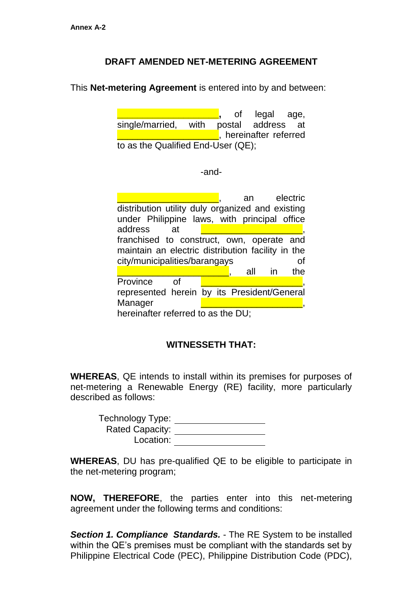## **DRAFT AMENDED NET-METERING AGREEMENT**

This **Net-metering Agreement** is entered into by and between:

**\_\_\_\_\_\_\_\_\_\_\_\_\_\_\_\_\_\_\_\_,** of legal age, single/married, with postal address at **Lumpers**, hereinafter referred to as the Qualified End-User (QE);

-and-

|                                                   |  |  | an  |     | electric |  |
|---------------------------------------------------|--|--|-----|-----|----------|--|
| distribution utility duly organized and existing  |  |  |     |     |          |  |
| under Philippine laws, with principal office      |  |  |     |     |          |  |
| address<br>at                                     |  |  |     |     |          |  |
| franchised to construct, own, operate and         |  |  |     |     |          |  |
| maintain an electric distribution facility in the |  |  |     |     |          |  |
| city/municipalities/barangays<br><b>of</b>        |  |  |     |     |          |  |
|                                                   |  |  | all | -in | the      |  |
| Province<br>Οf                                    |  |  |     |     |          |  |
|                                                   |  |  |     |     |          |  |
| represented herein by its President/General       |  |  |     |     |          |  |
| Manager                                           |  |  |     |     |          |  |

## **WITNESSETH THAT:**

**WHEREAS**, QE intends to install within its premises for purposes of net-metering a Renewable Energy (RE) facility, more particularly described as follows:

| <b>Technology Type:</b> |  |
|-------------------------|--|
| <b>Rated Capacity:</b>  |  |
| Location:               |  |

**WHEREAS**, DU has pre-qualified QE to be eligible to participate in the net-metering program;

**NOW, THEREFORE**, the parties enter into this net-metering agreement under the following terms and conditions:

*Section 1. Compliance Standards.* - The RE System to be installed within the QE's premises must be compliant with the standards set by Philippine Electrical Code (PEC), Philippine Distribution Code (PDC),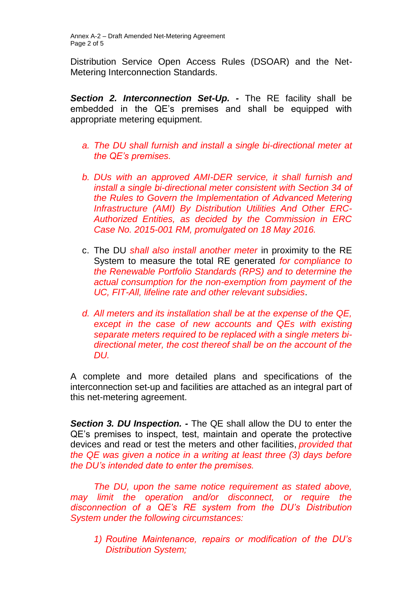Distribution Service Open Access Rules (DSOAR) and the Net-Metering Interconnection Standards.

*Section 2. Interconnection Set-Up. -* The RE facility shall be embedded in the QE's premises and shall be equipped with appropriate metering equipment.

- *a. The DU shall furnish and install a single bi-directional meter at the QE's premises.*
- *b. DUs with an approved AMI-DER service, it shall furnish and install a single bi-directional meter consistent with Section 34 of the Rules to Govern the Implementation of Advanced Metering Infrastructure (AMI) By Distribution Utilities And Other ERC-Authorized Entities, as decided by the Commission in ERC Case No. 2015-001 RM, promulgated on 18 May 2016.*
- c. The DU *shall also install another meter* in proximity to the RE System to measure the total RE generated *for compliance to the Renewable Portfolio Standards (RPS) and to determine the actual consumption for the non-exemption from payment of the UC, FIT-All, lifeline rate and other relevant subsidies*.
- *d. All meters and its installation shall be at the expense of the QE, except in the case of new accounts and QEs with existing separate meters required to be replaced with a single meters bidirectional meter, the cost thereof shall be on the account of the DU.*

A complete and more detailed plans and specifications of the interconnection set-up and facilities are attached as an integral part of this net-metering agreement.

*Section 3. DU Inspection. -* The QE shall allow the DU to enter the QE's premises to inspect, test, maintain and operate the protective devices and read or test the meters and other facilities, *provided that the QE was given a notice in a writing at least three (3) days before the DU's intended date to enter the premises.*

*The DU, upon the same notice requirement as stated above, may limit the operation and/or disconnect, or require the disconnection of a QE's RE system from the DU's Distribution System under the following circumstances:*

*1) Routine Maintenance, repairs or modification of the DU's Distribution System;*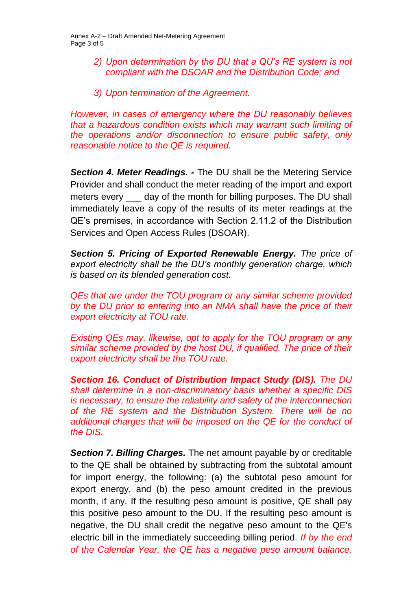- *2) Upon determination by the DU that a QU's RE system is not compliant with the DSOAR and the Distribution Code; and*
- *3) Upon termination of the Agreement.*

*However, in cases of emergency where the DU reasonably believes that a hazardous condition exists which may warrant such limiting of the operations and/or disconnection to ensure public safety, only reasonable notice to the QE is required.*

*Section 4. Meter Readings. -* The DU shall be the Metering Service Provider and shall conduct the meter reading of the import and export meters every \_\_\_\_ day of the month for billing purposes. The DU shall immediately leave a copy of the results of its meter readings at the QE's premises, in accordance with Section 2.11.2 of the Distribution Services and Open Access Rules (DSOAR).

*Section 5. Pricing of Exported Renewable Energy. The price of export electricity shall be the DU's monthly generation charge, which is based on its blended generation cost.* 

*QEs that are under the TOU program or any similar scheme provided by the DU prior to entering into an NMA shall have the price of their export electricity at TOU rate.*

*Existing QEs may, likewise, opt to apply for the TOU program or any similar scheme provided by the host DU, if qualified. The price of their export electricity shall be the TOU rate.*

*Section 16. Conduct of Distribution Impact Study (DIS). The DU shall determine in a non-discriminatory basis whether a specific DIS is necessary, to ensure the reliability and safety of the interconnection of the RE system and the Distribution System. There will be no additional charges that will be imposed on the QE for the conduct of the DIS.*

*Section 7. Billing Charges.* The net amount payable by or creditable to the QE shall be obtained by subtracting from the subtotal amount for import energy, the following: (a) the subtotal peso amount for export energy, and (b) the peso amount credited in the previous month, if any. If the resulting peso amount is positive, QE shall pay this positive peso amount to the DU. If the resulting peso amount is negative, the DU shall credit the negative peso amount to the QE's electric bill in the immediately succeeding billing period. *If by the end of the Calendar Year, the QE has a negative peso amount balance,*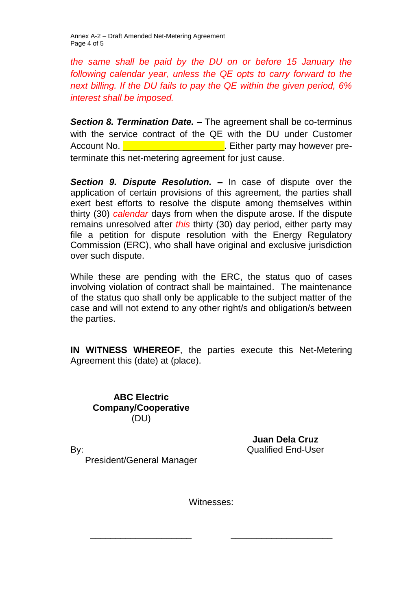Annex A-2 – Draft Amended Net-Metering Agreement Page 4 of 5

*the same shall be paid by the DU on or before 15 January the following calendar year, unless the QE opts to carry forward to the next billing. If the DU fails to pay the QE within the given period, 6% interest shall be imposed.*

**Section 8. Termination Date. –** The agreement shall be co-terminus with the service contract of the QE with the DU under Customer Account No. **Detail as a set of the set of the set of the set of the set of the set of the set of the set of the set of the set of the set of the set of the set of the set of the set of the set of the set of the set of the** terminate this net-metering agreement for just cause.

*Section 9. Dispute Resolution.* **–** In case of dispute over the application of certain provisions of this agreement, the parties shall exert best efforts to resolve the dispute among themselves within thirty (30) *calendar* days from when the dispute arose. If the dispute remains unresolved after *this* thirty (30) day period, either party may file a petition for dispute resolution with the Energy Regulatory Commission (ERC), who shall have original and exclusive jurisdiction over such dispute.

While these are pending with the ERC, the status quo of cases involving violation of contract shall be maintained. The maintenance of the status quo shall only be applicable to the subject matter of the case and will not extend to any other right/s and obligation/s between the parties.

**IN WITNESS WHEREOF**, the parties execute this Net-Metering Agreement this (date) at (place).

**ABC Electric Company/Cooperative** (DU)

By:

**Juan Dela Cruz** Qualified End-User

President/General Manager

Witnesses:

\_\_\_\_\_\_\_\_\_\_\_\_\_\_\_\_\_\_\_\_ \_\_\_\_\_\_\_\_\_\_\_\_\_\_\_\_\_\_\_\_